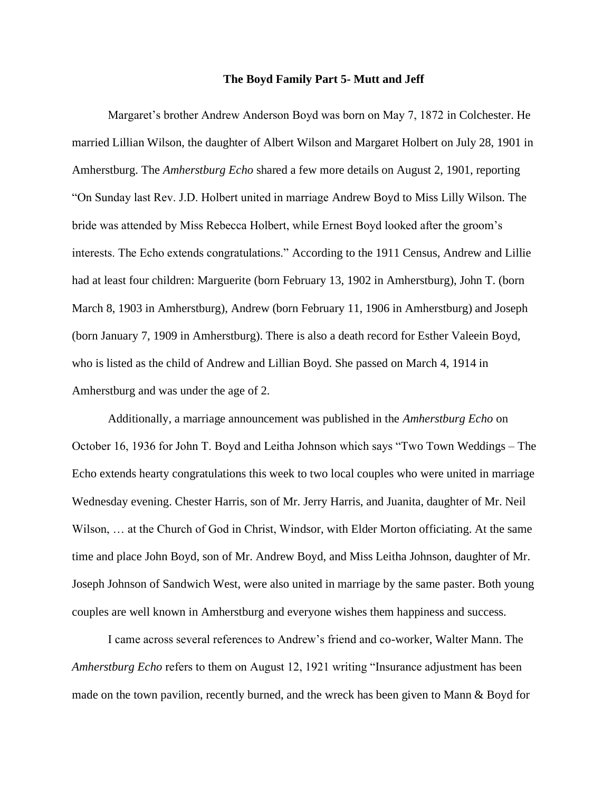## **The Boyd Family Part 5- Mutt and Jeff**

Margaret's brother Andrew Anderson Boyd was born on May 7, 1872 in Colchester. He married Lillian Wilson, the daughter of Albert Wilson and Margaret Holbert on July 28, 1901 in Amherstburg. The *Amherstburg Echo* shared a few more details on August 2, 1901, reporting "On Sunday last Rev. J.D. Holbert united in marriage Andrew Boyd to Miss Lilly Wilson. The bride was attended by Miss Rebecca Holbert, while Ernest Boyd looked after the groom's interests. The Echo extends congratulations." According to the 1911 Census, Andrew and Lillie had at least four children: Marguerite (born February 13, 1902 in Amherstburg), John T. (born March 8, 1903 in Amherstburg), Andrew (born February 11, 1906 in Amherstburg) and Joseph (born January 7, 1909 in Amherstburg). There is also a death record for Esther Valeein Boyd, who is listed as the child of Andrew and Lillian Boyd. She passed on March 4, 1914 in Amherstburg and was under the age of 2.

Additionally, a marriage announcement was published in the *Amherstburg Echo* on October 16, 1936 for John T. Boyd and Leitha Johnson which says "Two Town Weddings – The Echo extends hearty congratulations this week to two local couples who were united in marriage Wednesday evening. Chester Harris, son of Mr. Jerry Harris, and Juanita, daughter of Mr. Neil Wilson, … at the Church of God in Christ, Windsor, with Elder Morton officiating. At the same time and place John Boyd, son of Mr. Andrew Boyd, and Miss Leitha Johnson, daughter of Mr. Joseph Johnson of Sandwich West, were also united in marriage by the same paster. Both young couples are well known in Amherstburg and everyone wishes them happiness and success.

I came across several references to Andrew's friend and co-worker, Walter Mann. The *Amherstburg Echo* refers to them on August 12, 1921 writing "Insurance adjustment has been made on the town pavilion, recently burned, and the wreck has been given to Mann & Boyd for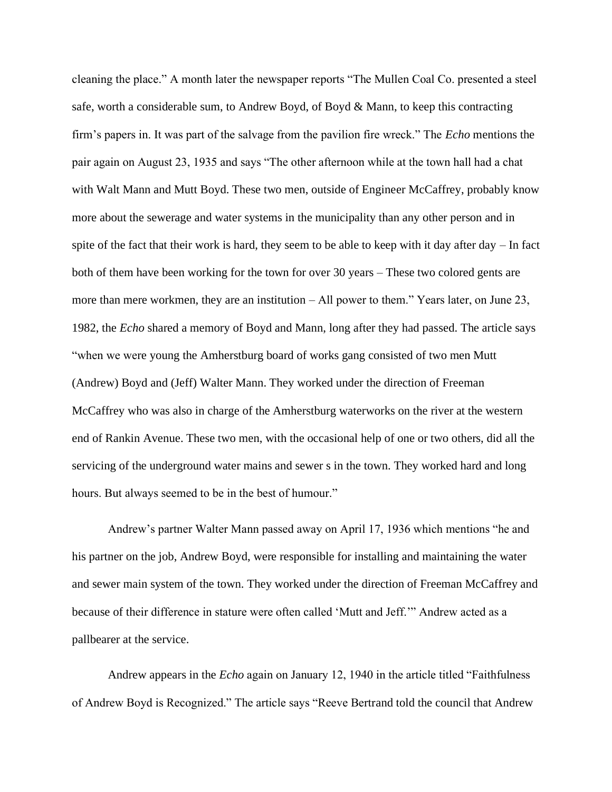cleaning the place." A month later the newspaper reports "The Mullen Coal Co. presented a steel safe, worth a considerable sum, to Andrew Boyd, of Boyd & Mann, to keep this contracting firm's papers in. It was part of the salvage from the pavilion fire wreck." The *Echo* mentions the pair again on August 23, 1935 and says "The other afternoon while at the town hall had a chat with Walt Mann and Mutt Boyd. These two men, outside of Engineer McCaffrey, probably know more about the sewerage and water systems in the municipality than any other person and in spite of the fact that their work is hard, they seem to be able to keep with it day after day – In fact both of them have been working for the town for over 30 years – These two colored gents are more than mere workmen, they are an institution – All power to them." Years later, on June 23, 1982, the *Echo* shared a memory of Boyd and Mann, long after they had passed. The article says "when we were young the Amherstburg board of works gang consisted of two men Mutt (Andrew) Boyd and (Jeff) Walter Mann. They worked under the direction of Freeman McCaffrey who was also in charge of the Amherstburg waterworks on the river at the western end of Rankin Avenue. These two men, with the occasional help of one or two others, did all the servicing of the underground water mains and sewer s in the town. They worked hard and long hours. But always seemed to be in the best of humour."

Andrew's partner Walter Mann passed away on April 17, 1936 which mentions "he and his partner on the job, Andrew Boyd, were responsible for installing and maintaining the water and sewer main system of the town. They worked under the direction of Freeman McCaffrey and because of their difference in stature were often called 'Mutt and Jeff.'" Andrew acted as a pallbearer at the service.

Andrew appears in the *Echo* again on January 12, 1940 in the article titled "Faithfulness of Andrew Boyd is Recognized." The article says "Reeve Bertrand told the council that Andrew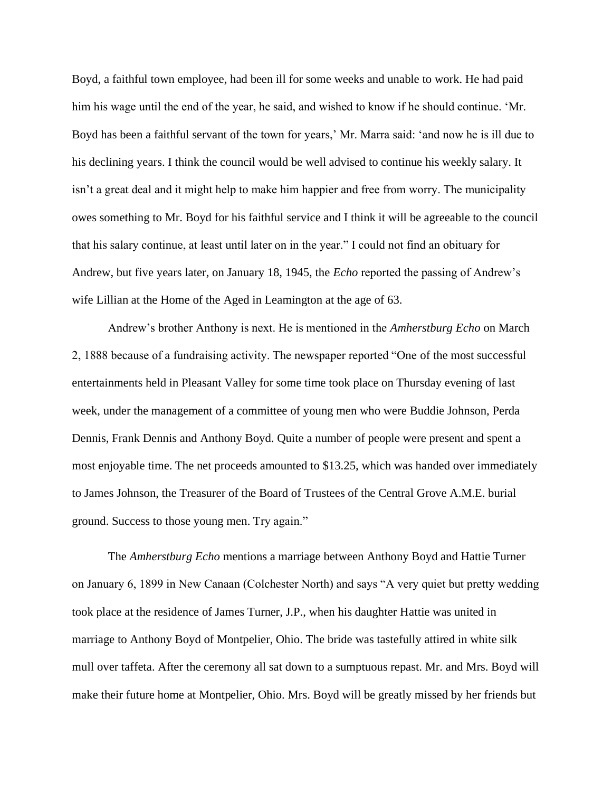Boyd, a faithful town employee, had been ill for some weeks and unable to work. He had paid him his wage until the end of the year, he said, and wished to know if he should continue. 'Mr. Boyd has been a faithful servant of the town for years,' Mr. Marra said: 'and now he is ill due to his declining years. I think the council would be well advised to continue his weekly salary. It isn't a great deal and it might help to make him happier and free from worry. The municipality owes something to Mr. Boyd for his faithful service and I think it will be agreeable to the council that his salary continue, at least until later on in the year." I could not find an obituary for Andrew, but five years later, on January 18, 1945, the *Echo* reported the passing of Andrew's wife Lillian at the Home of the Aged in Leamington at the age of 63.

Andrew's brother Anthony is next. He is mentioned in the *Amherstburg Echo* on March 2, 1888 because of a fundraising activity. The newspaper reported "One of the most successful entertainments held in Pleasant Valley for some time took place on Thursday evening of last week, under the management of a committee of young men who were Buddie Johnson, Perda Dennis, Frank Dennis and Anthony Boyd. Quite a number of people were present and spent a most enjoyable time. The net proceeds amounted to \$13.25, which was handed over immediately to James Johnson, the Treasurer of the Board of Trustees of the Central Grove A.M.E. burial ground. Success to those young men. Try again."

The *Amherstburg Echo* mentions a marriage between Anthony Boyd and Hattie Turner on January 6, 1899 in New Canaan (Colchester North) and says "A very quiet but pretty wedding took place at the residence of James Turner, J.P., when his daughter Hattie was united in marriage to Anthony Boyd of Montpelier, Ohio. The bride was tastefully attired in white silk mull over taffeta. After the ceremony all sat down to a sumptuous repast. Mr. and Mrs. Boyd will make their future home at Montpelier, Ohio. Mrs. Boyd will be greatly missed by her friends but